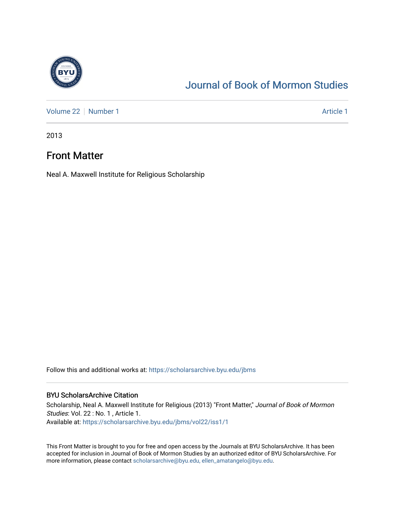

## [Journal of Book of Mormon Studies](https://scholarsarchive.byu.edu/jbms)

[Volume 22](https://scholarsarchive.byu.edu/jbms/vol22) | [Number 1](https://scholarsarchive.byu.edu/jbms/vol22/iss1) Article 1

2013

### Front Matter

Neal A. Maxwell Institute for Religious Scholarship

Follow this and additional works at: [https://scholarsarchive.byu.edu/jbms](https://scholarsarchive.byu.edu/jbms?utm_source=scholarsarchive.byu.edu%2Fjbms%2Fvol22%2Fiss1%2F1&utm_medium=PDF&utm_campaign=PDFCoverPages) 

#### BYU ScholarsArchive Citation

Scholarship, Neal A. Maxwell Institute for Religious (2013) "Front Matter," Journal of Book of Mormon Studies: Vol. 22 : No. 1 , Article 1. Available at: [https://scholarsarchive.byu.edu/jbms/vol22/iss1/1](https://scholarsarchive.byu.edu/jbms/vol22/iss1/1?utm_source=scholarsarchive.byu.edu%2Fjbms%2Fvol22%2Fiss1%2F1&utm_medium=PDF&utm_campaign=PDFCoverPages) 

This Front Matter is brought to you for free and open access by the Journals at BYU ScholarsArchive. It has been accepted for inclusion in Journal of Book of Mormon Studies by an authorized editor of BYU ScholarsArchive. For more information, please contact [scholarsarchive@byu.edu, ellen\\_amatangelo@byu.edu.](mailto:scholarsarchive@byu.edu,%20ellen_amatangelo@byu.edu)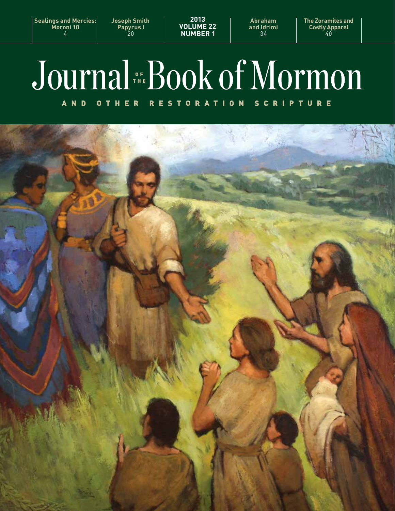**Sealings and Mercies: Moroni 10** 4

**Joseph Smith Papyrus I** 20

**2013 VOLUME 22 NUMBER 1**

**Abraham and Idrimi** 34

**The Zoramites and Costly Apparel** 40

# Journal FREDOOK of Mormon

OTHER RESTORATION SCRIPTURE A N D

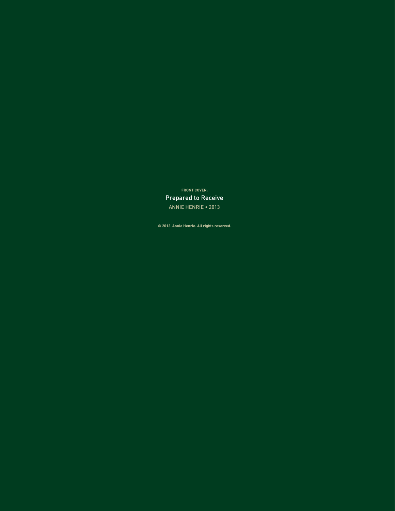**FRONT COVER:** Prepared to Receive ANNIE HENRIE • 2013

**© 2013 Annie Henrie. All rights reserved.**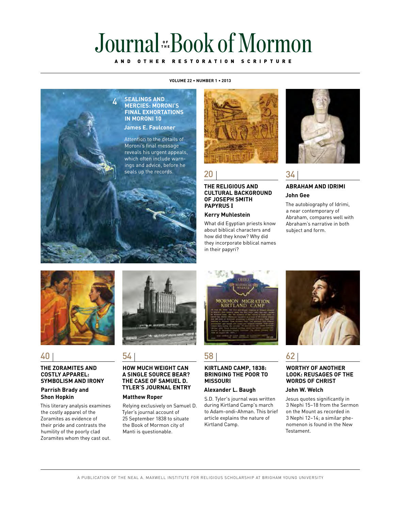# OF<br>The

#### AND OTHER RESTORATION SCRIPTURE

#### **VOLUME 22 • NUMBER 1 • 2013**





20

#### **THE RELIGIOUS AND CULTURAL BACKGROUND OF JOSEPH SMITH PAPYRUS** I

#### **Kerry Muhlestein**

What did Egyptian priests know about biblical characters and how did they know? Why did they incorporate biblical names in their papyri?



34

#### **ABRAHAM AND IDRIMI John Gee**

The autobiography of Idrimi, a near contemporary of Abraham, compares well with Abraham's narrative in both subject and form.



#### 40

#### **THE ZORAMITES AND COSTLY APPAREL: SYMBOLISM AND IRONY**

#### **Parrish Brady and Shon Hopkin**

This literary analysis examines the costly apparel of the Zoramites as evidence of their pride and contrasts the humility of the poorly clad Zoramites whom they cast out.



#### 54

#### **HOW MUCH WEIGHT CAN A SINGLE SOURCE BEAR? THE CASE OF SAMUEL D. TYLER'S JOURNAL ENTRY**

#### **Matthew Roper**

Relying exclusively on Samuel D. Tyler's journal account of 25 September 1838 to situate the Book of Mormon city of Manti is questionable.



#### 58

#### **KIRTLAND CAMP, 1838: BRINGING THE POOR TO MISSOURI**

#### **Alexander L. Baugh**

S.D. Tyler's journal was written during Kirtland Camp's march to Adam-ondi-Ahman. This brief article explains the nature of Kirtland Camp.



#### 62

#### **WORTHY OF ANOTHER LOOK: Reusages of the Words of Christ**

#### **John W. Welch**

Jesus quotes significantly in 3 Nephi 15–18 from the Sermon on the Mount as recorded in 3 Nephi 12–14; a similar phenomenon is found in the New Testament.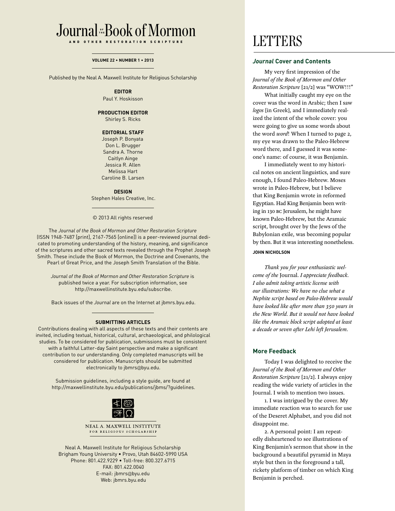#### Journal Book of Mormon OF<br>The

AND OTHER RESTORATION SCRIPTURE

#### **VOLUME 22 • NUMBER 1 • 2013**

Published by the Neal A. Maxwell Institute for Religious Scholarship

#### **EDITOR**

Paul Y. Hoskisson

#### **PRODUCTION EDITOR**

Shirley S. Ricks

#### **EDITORIAL STAFF**

Joseph P. Bonyata Don L. Brugger Sandra A. Thorne Caitlyn Ainge Jessica R. Allen Melissa Hart Caroline B. Larsen

#### **DESIGN**

Stephen Hales Creative, Inc.

© 2013 All rights reserved

The *Journal of the Book of Mormon and Other Restoration Scripture* (ISSN 1948-7487 [print], 2167-7565 [online]) is a peer-reviewed journal dedicated to promoting understanding of the history, meaning, and significance of the scriptures and other sacred texts revealed through the Prophet Joseph Smith. These include the Book of Mormon, the Doctrine and Covenants, the Pearl of Great Price, and the Joseph Smith Translation of the Bible.

*Journal of the Book of Mormon and Other Restoration Scripture* is published twice a year. For subscription information, see http://maxwellinstitute.byu.edu/subscribe.

Back issues of the *Journal* are on the Internet at jbmrs.byu.edu.

#### **SUBMITTING ARTICLES**

Contributions dealing with all aspects of these texts and their contents are invited, including textual, historical, cultural, archaeological, and philological studies. To be considered for publication, submissions must be consistent with a faithful Latter-day Saint perspective and make a significant contribution to our understanding. Only completed manuscripts will be considered for publication. Manuscripts should be submitted electronically to jbmrs@byu.edu.

Submission guidelines, including a style guide, are found at http://maxwellinstitute.byu.edu/publications/jbms/?guidelines.



NEAL A. MAXWELL INSTITUTE FOR RELIGIOUS SCHOLARSHIP

Neal A. Maxwell Institute for Religious Scholarship Brigham Young University • Provo, Utah 84602-5990 USA Phone: 801.422.9229 • Toll-free: 800.327.6715 FAX: 801.422.0040 E-mail: jbmrs@byu.edu Web: jbmrs.byu.edu

# **LETTERS**

#### *Journal* **Cover and Contents**

My very first impression of the *Journal of the Book of Mormon and Other Restoration Scripture* [21/2] was "WOW!!!"

What initially caught my eye on the cover was the word in Arabic; then I saw *logos* [in Greek], and I immediately realized the intent of the whole cover: you were going to give us some words about the word *word*! When I turned to page 2, my eye was drawn to the Paleo-Hebrew word there, and I guessed it was someone's name: of course, it was Benjamin.

I immediately went to my historical notes on ancient linguistics, and sure enough, I found Paleo-Hebrew. Moses wrote in Paleo-Hebrew, but I believe that King Benjamin wrote in reformed Egyptian. Had King Benjamin been writing in 130 bc Jerusalem, he might have known Paleo-Hebrew, but the Aramaic script, brought over by the Jews of the Babylonian exile, was becoming popular by then. But it was interesting nonetheless.

#### **JOHN NICHOLSON**

*Thank you for your enthusiastic welcome of the* Journal. *I appreciate feedback. I also admit taking artistic license with our illustrations: We have no clue what a Nephite script based on Paleo-Hebrew would have looked like after more than 350 years in the New World. But it would not have looked like the Aramaic block script adopted at least a decade or seven after Lehi left Jerusalem.*

#### **More Feedback**

Today I was delighted to receive the *Journal of the Book of Mormon and Other Restoration Scripture* [21/2]. I always enjoy reading the wide variety of articles in the Journal. I wish to mention two issues.

1. I was intrigued by the cover. My immediate reaction was to search for use of the Deseret Alphabet, and you did not disappoint me.

2. A personal point: I am repeatedly disheartened to see illustrations of King Benjamin's sermon that show in the background a beautiful pyramid in Maya style but then in the foreground a tall, rickety platform of timber on which King Benjamin is perched.